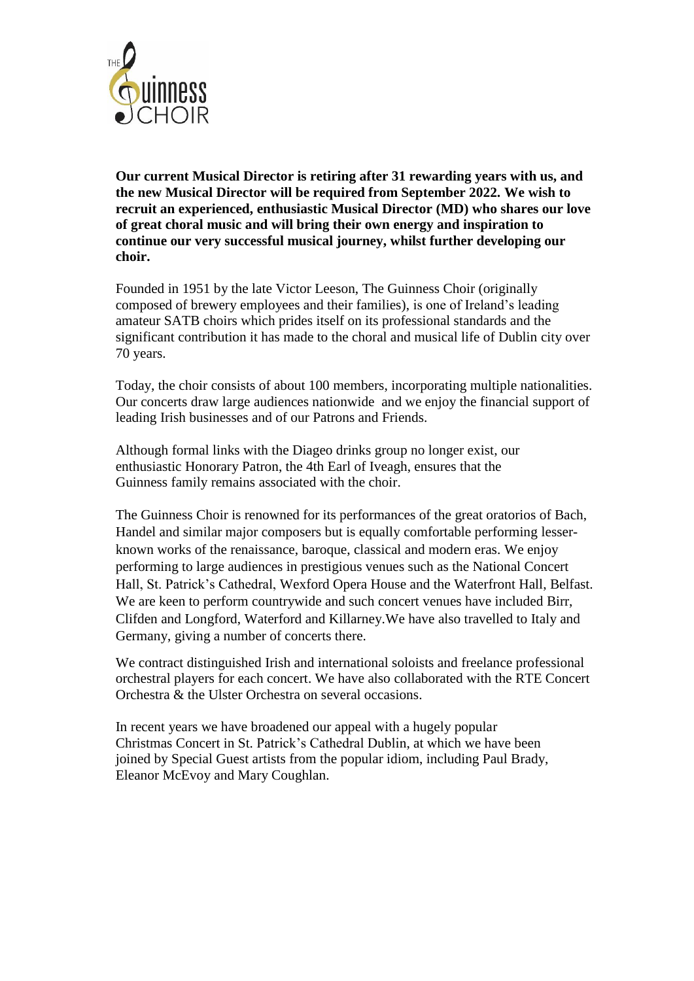

**Our current Musical Director is retiring after 31 rewarding years with us, and the new Musical Director will be required from September 2022. We wish to recruit an experienced, enthusiastic Musical Director (MD) who shares our love of great choral music and will bring their own energy and inspiration to continue our very successful musical journey, whilst further developing our choir.** 

Founded in 1951 by the late Victor Leeson, The Guinness Choir (originally composed of brewery employees and their families), is one of Ireland's leading amateur SATB choirs which prides itself on its professional standards and the significant contribution it has made to the choral and musical life of Dublin city over 70 years.

Today, the choir consists of about 100 members, incorporating multiple nationalities. Our concerts draw large audiences nationwide and we enjoy the financial support of leading Irish businesses and of our Patrons and Friends.

Although formal links with the Diageo drinks group no longer exist, our enthusiastic Honorary Patron, the 4th Earl of Iveagh, ensures that the Guinness family remains associated with the choir.

The Guinness Choir is renowned for its performances of the great oratorios of Bach, Handel and similar major composers but is equally comfortable performing lesserknown works of the renaissance, baroque, classical and modern eras. We enjoy performing to large audiences in prestigious venues such as the National Concert Hall, St. Patrick's Cathedral, Wexford Opera House and the Waterfront Hall, Belfast. We are keen to perform countrywide and such concert venues have included Birr, Clifden and Longford, Waterford and Killarney.We have also travelled to Italy and Germany, giving a number of concerts there.

We contract distinguished Irish and international soloists and freelance professional orchestral players for each concert. We have also collaborated with the RTE Concert Orchestra & the Ulster Orchestra on several occasions.

In recent years we have broadened our appeal with a hugely popular Christmas Concert in St. Patrick's Cathedral Dublin, at which we have been joined by Special Guest artists from the popular idiom, including Paul Brady, Eleanor McEvoy and Mary Coughlan.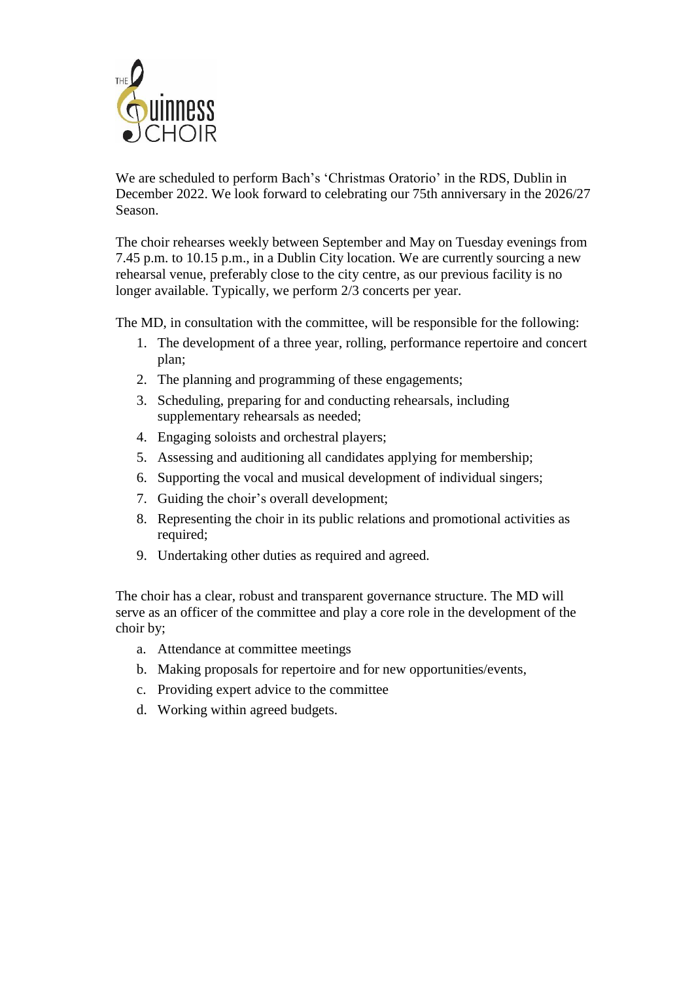

We are scheduled to perform Bach's 'Christmas Oratorio' in the RDS, Dublin in December 2022. We look forward to celebrating our 75th anniversary in the 2026/27 Season.

The choir rehearses weekly between September and May on Tuesday evenings from 7.45 p.m. to 10.15 p.m., in a Dublin City location. We are currently sourcing a new rehearsal venue, preferably close to the city centre, as our previous facility is no longer available. Typically, we perform  $2/3$  concerts per year.

The MD, in consultation with the committee, will be responsible for the following:

- 1. The development of a three year, rolling, performance repertoire and concert plan;
- 2. The planning and programming of these engagements;
- 3. Scheduling, preparing for and conducting rehearsals, including supplementary rehearsals as needed;
- 4. Engaging soloists and orchestral players;
- 5. Assessing and auditioning all candidates applying for membership;
- 6. Supporting the vocal and musical development of individual singers;
- 7. Guiding the choir's overall development;
- 8. Representing the choir in its public relations and promotional activities as required;
- 9. Undertaking other duties as required and agreed.

The choir has a clear, robust and transparent governance structure. The MD will serve as an officer of the committee and play a core role in the development of the choir by;

- a. Attendance at committee meetings
- b. Making proposals for repertoire and for new opportunities/events,
- c. Providing expert advice to the committee
- d. Working within agreed budgets.